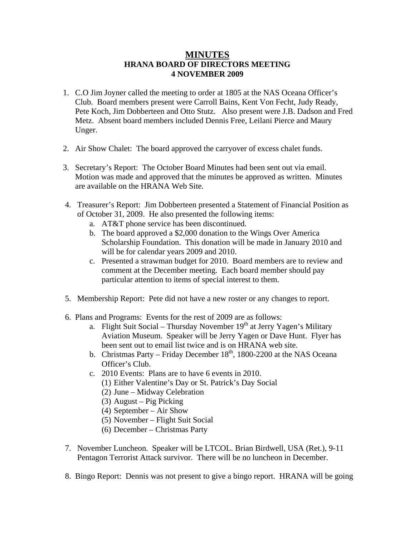## **MINUTES HRANA BOARD OF DIRECTORS MEETING 4 NOVEMBER 2009**

- 1. C.O Jim Joyner called the meeting to order at 1805 at the NAS Oceana Officer's Club. Board members present were Carroll Bains, Kent Von Fecht, Judy Ready, Pete Koch, Jim Dobberteen and Otto Stutz. Also present were J.B. Dadson and Fred Metz. Absent board members included Dennis Free, Leilani Pierce and Maury Unger.
- 2. Air Show Chalet: The board approved the carryover of excess chalet funds.
- 3. Secretary's Report: The October Board Minutes had been sent out via email. Motion was made and approved that the minutes be approved as written. Minutes are available on the HRANA Web Site.
- 4. Treasurer's Report: Jim Dobberteen presented a Statement of Financial Position as of October 31, 2009. He also presented the following items:
	- a. AT&T phone service has been discontinued.
	- b. The board approved a \$2,000 donation to the Wings Over America Scholarship Foundation. This donation will be made in January 2010 and will be for calendar years 2009 and 2010.
	- c. Presented a strawman budget for 2010. Board members are to review and comment at the December meeting. Each board member should pay particular attention to items of special interest to them.
- 5. Membership Report: Pete did not have a new roster or any changes to report.
- 6. Plans and Programs: Events for the rest of 2009 are as follows:
	- a. Flight Suit Social Thursday November  $19<sup>th</sup>$  at Jerry Yagen's Military Aviation Museum. Speaker will be Jerry Yagen or Dave Hunt. Flyer has been sent out to email list twice and is on HRANA web site.
	- b. Christmas Party Friday December  $18<sup>th</sup>$ , 1800-2200 at the NAS Oceana Officer's Club.
	- c. 2010 Events: Plans are to have 6 events in 2010.
		- (1) Either Valentine's Day or St. Patrick's Day Social
		- (2) June Midway Celebration
		- (3) August Pig Picking
		- (4) September Air Show
		- (5) November Flight Suit Social
		- (6) December Christmas Party
- 7. November Luncheon. Speaker will be LTCOL. Brian Birdwell, USA (Ret.), 9-11 Pentagon Terrorist Attack survivor. There will be no luncheon in December.
- 8. Bingo Report: Dennis was not present to give a bingo report. HRANA will be going